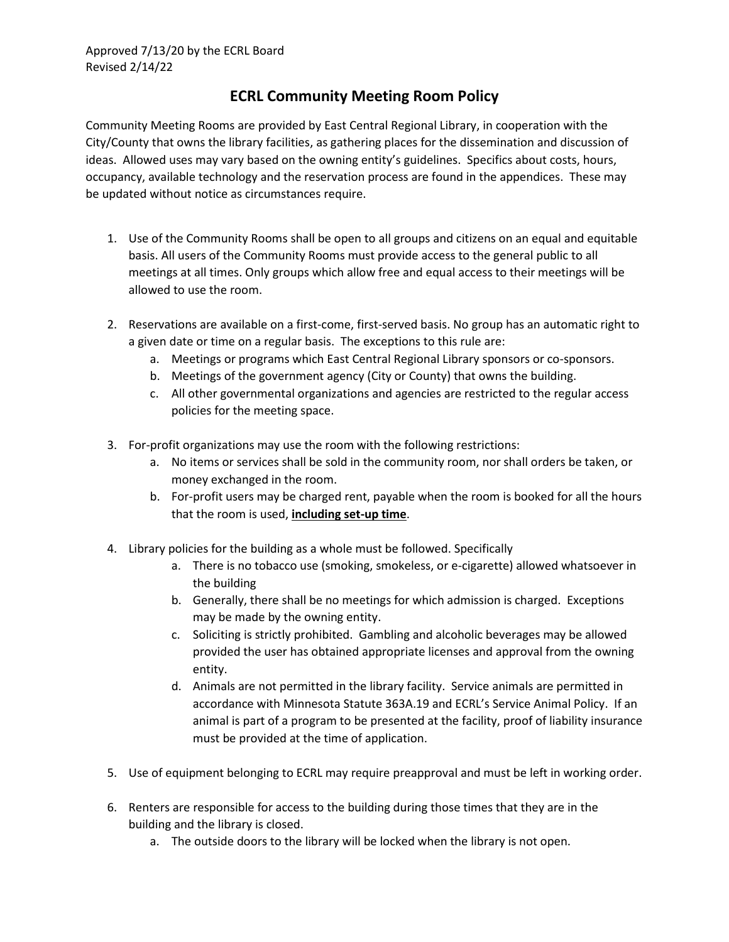## **ECRL Community Meeting Room Policy**

Community Meeting Rooms are provided by East Central Regional Library, in cooperation with the City/County that owns the library facilities, as gathering places for the dissemination and discussion of ideas. Allowed uses may vary based on the owning entity's guidelines. Specifics about costs, hours, occupancy, available technology and the reservation process are found in the appendices. These may be updated without notice as circumstances require.

- 1. Use of the Community Rooms shall be open to all groups and citizens on an equal and equitable basis. All users of the Community Rooms must provide access to the general public to all meetings at all times. Only groups which allow free and equal access to their meetings will be allowed to use the room.
- 2. Reservations are available on a first-come, first-served basis. No group has an automatic right to a given date or time on a regular basis. The exceptions to this rule are:
	- a. Meetings or programs which East Central Regional Library sponsors or co-sponsors.
	- b. Meetings of the government agency (City or County) that owns the building.
	- c. All other governmental organizations and agencies are restricted to the regular access policies for the meeting space.
- 3. For-profit organizations may use the room with the following restrictions:
	- a. No items or services shall be sold in the community room, nor shall orders be taken, or money exchanged in the room.
	- b. For-profit users may be charged rent, payable when the room is booked for all the hours that the room is used, **including set-up time**.
- 4. Library policies for the building as a whole must be followed. Specifically
	- a. There is no tobacco use (smoking, smokeless, or e-cigarette) allowed whatsoever in the building
	- b. Generally, there shall be no meetings for which admission is charged. Exceptions may be made by the owning entity.
	- c. Soliciting is strictly prohibited. Gambling and alcoholic beverages may be allowed provided the user has obtained appropriate licenses and approval from the owning entity.
	- d. Animals are not permitted in the library facility. Service animals are permitted in accordance with Minnesota Statute 363A.19 and ECRL's Service Animal Policy. If an animal is part of a program to be presented at the facility, proof of liability insurance must be provided at the time of application.
- 5. Use of equipment belonging to ECRL may require preapproval and must be left in working order.
- 6. Renters are responsible for access to the building during those times that they are in the building and the library is closed.
	- a. The outside doors to the library will be locked when the library is not open.